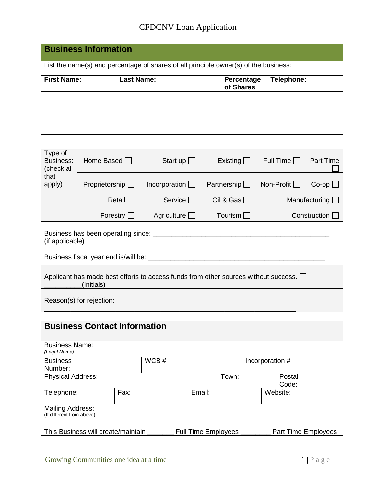## CFDCNV Loan Application

| <b>Business Information</b>                                                                       |                       |                   |                                                                                      |         |                         |  |                    |                    |
|---------------------------------------------------------------------------------------------------|-----------------------|-------------------|--------------------------------------------------------------------------------------|---------|-------------------------|--|--------------------|--------------------|
|                                                                                                   |                       |                   | List the name(s) and percentage of shares of all principle owner(s) of the business: |         |                         |  |                    |                    |
| <b>First Name:</b>                                                                                |                       | <b>Last Name:</b> |                                                                                      |         | Percentage<br>of Shares |  | Telephone:         |                    |
|                                                                                                   |                       |                   |                                                                                      |         |                         |  |                    |                    |
|                                                                                                   |                       |                   |                                                                                      |         |                         |  |                    |                    |
|                                                                                                   |                       |                   |                                                                                      |         |                         |  |                    |                    |
|                                                                                                   |                       |                   |                                                                                      |         |                         |  |                    |                    |
| Type of<br><b>Business:</b><br>(check all                                                         | Home Based $\Box$     |                   | Start up $\Box$                                                                      |         | Existing                |  | Full Time $\Box$   | <b>Part Time</b>   |
| that<br>apply)                                                                                    | Proprietorship $\Box$ |                   | Incorporation $\Box$                                                                 |         | Partnership $\Box$      |  | Non-Profit $\Box$  | $Co$ -op $\square$ |
|                                                                                                   |                       | Retail            | Service $\Box$                                                                       |         | Oil & Gas               |  |                    | Manufacturing      |
|                                                                                                   |                       | Forestry [        | Agriculture                                                                          | Tourism |                         |  | Construction       |                    |
| (if applicable)                                                                                   |                       |                   |                                                                                      |         |                         |  |                    |                    |
|                                                                                                   |                       |                   |                                                                                      |         |                         |  |                    |                    |
| Applicant has made best efforts to access funds from other sources without success.<br>(Initials) |                       |                   |                                                                                      |         |                         |  |                    |                    |
| Reason(s) for rejection:                                                                          |                       |                   |                                                                                      |         |                         |  |                    |                    |
| <b>Business Contact Information</b>                                                               |                       |                   |                                                                                      |         |                         |  |                    |                    |
| <b>Business Name:</b><br>(Legal Name)                                                             |                       |                   |                                                                                      |         |                         |  |                    |                    |
| <b>Business</b>                                                                                   |                       |                   | WCB#                                                                                 |         |                         |  | Incorporation #    |                    |
| Number:<br><b>Physical Address:</b>                                                               |                       |                   |                                                                                      |         | $T_{OMD}$               |  | D <sub>netol</sub> |                    |

Physical Address: The Physical Address: The Postal Postal Postal Postal Postal Postal Postal Postal Postal Postal Postal Postal Postal Postal Postal Postal Postal Postal Postal Postal Postal Postal Postal Postal Postal Pos Code:<br>Website: Telephone: Fax: Email: Mailing Address: (If different from above) This Business will create/maintain \_\_\_\_\_\_\_ Full Time Employees \_\_\_\_\_\_\_\_ Part Time Employees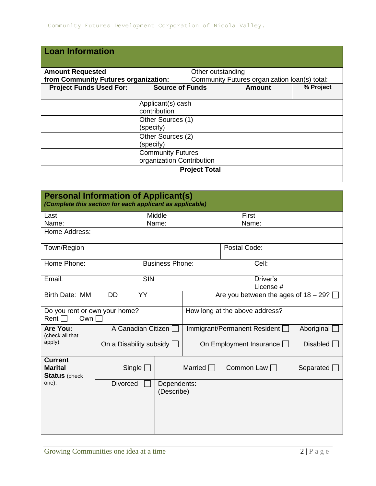| <b>Loan Information</b>              |                           |                                               |               |           |  |
|--------------------------------------|---------------------------|-----------------------------------------------|---------------|-----------|--|
| <b>Amount Requested</b>              |                           | Other outstanding                             |               |           |  |
| from Community Futures organization: |                           | Community Futures organization loan(s) total: |               |           |  |
| <b>Project Funds Used For:</b>       | <b>Source of Funds</b>    |                                               | <b>Amount</b> | % Project |  |
|                                      |                           |                                               |               |           |  |
|                                      | Applicant(s) cash         |                                               |               |           |  |
|                                      | contribution              |                                               |               |           |  |
| Other Sources (1)                    |                           |                                               |               |           |  |
|                                      | (specify)                 |                                               |               |           |  |
|                                      | Other Sources (2)         |                                               |               |           |  |
|                                      | (specify)                 |                                               |               |           |  |
|                                      | <b>Community Futures</b>  |                                               |               |           |  |
|                                      | organization Contribution |                                               |               |           |  |
|                                      |                           | <b>Project Total</b>                          |               |           |  |
|                                      |                           |                                               |               |           |  |

| <b>Personal Information of Applicant(s)</b><br>(Complete this section for each applicant as applicable) |                                |                                         |                                |              |           |                  |
|---------------------------------------------------------------------------------------------------------|--------------------------------|-----------------------------------------|--------------------------------|--------------|-----------|------------------|
| Last                                                                                                    |                                | Middle                                  |                                | First        |           |                  |
| Name:                                                                                                   |                                | Name:                                   |                                | Name:        |           |                  |
| Home Address:                                                                                           |                                |                                         |                                |              |           |                  |
| Town/Region                                                                                             |                                |                                         |                                | Postal Code: |           |                  |
| Home Phone:                                                                                             |                                | <b>Business Phone:</b>                  |                                |              | Cell:     |                  |
| Email:                                                                                                  |                                | <b>SIN</b>                              | Driver's<br>License #          |              |           |                  |
| Birth Date: MM                                                                                          | YY                             | Are you between the ages of $18 - 29$ ? |                                |              |           |                  |
| Do you rent or own your home?<br>Rent $\Box$<br>Own                                                     |                                |                                         | How long at the above address? |              |           |                  |
| Are You:<br>(check all that                                                                             |                                | A Canadian Citizen                      | Immigrant/Permanent Resident [ |              |           | Aboriginal       |
| apply):                                                                                                 | On a Disability subsidy $\Box$ |                                         | On Employment Insurance        |              | Disable d |                  |
| <b>Current</b><br><b>Marital</b><br><b>Status</b> (check                                                | Single $\square$               |                                         | Married                        | Common Law   |           | Separated $\Box$ |
| one):                                                                                                   | <b>Divorced</b>                | Dependents:<br>(Describe)               |                                |              |           |                  |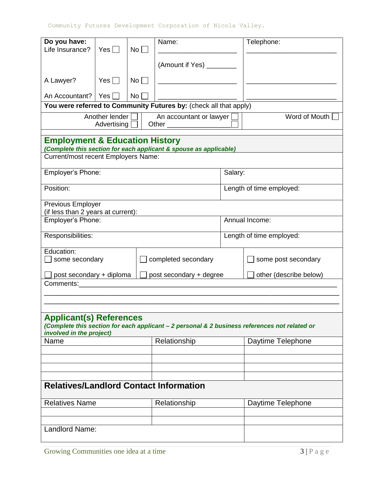| Do you have:                                                                     |                  |                 | Name:                                                             |                          | Telephone:                                                                                    |  |
|----------------------------------------------------------------------------------|------------------|-----------------|-------------------------------------------------------------------|--------------------------|-----------------------------------------------------------------------------------------------|--|
| Life Insurance?                                                                  | Yes $\Box$       | No <sub>1</sub> |                                                                   |                          |                                                                                               |  |
|                                                                                  |                  |                 | (Amount if Yes) ________                                          |                          |                                                                                               |  |
| A Lawyer?                                                                        | Yes $\Box$       | No              |                                                                   |                          |                                                                                               |  |
|                                                                                  |                  |                 |                                                                   |                          |                                                                                               |  |
| An Accountant?                                                                   | Yes              | No <sub>1</sub> | You were referred to Community Futures by: (check all that apply) |                          |                                                                                               |  |
|                                                                                  | Another lender [ |                 | An accountant or lawyer                                           |                          | Word of Mouth                                                                                 |  |
|                                                                                  | Advertising      |                 |                                                                   |                          |                                                                                               |  |
| <b>Employment &amp; Education History</b><br>Current/most recent Employers Name: |                  |                 | (Complete this section for each applicant & spouse as applicable) |                          |                                                                                               |  |
| Employer's Phone:                                                                |                  |                 |                                                                   | Salary:                  |                                                                                               |  |
| Position:                                                                        |                  |                 |                                                                   |                          | Length of time employed:                                                                      |  |
| Previous Employer                                                                |                  |                 |                                                                   |                          |                                                                                               |  |
| (if less than 2 years at current):<br>Employer's Phone:                          |                  |                 |                                                                   | Annual Income:           |                                                                                               |  |
|                                                                                  |                  |                 |                                                                   |                          |                                                                                               |  |
| Responsibilities:                                                                |                  |                 |                                                                   | Length of time employed: |                                                                                               |  |
| Education:<br>some secondary                                                     |                  |                 | completed secondary                                               |                          | some post secondary                                                                           |  |
| post secondary + diploma                                                         |                  |                 | post secondary + degree                                           |                          | other (describe below)                                                                        |  |
| Comments: Comments:                                                              |                  |                 |                                                                   |                          |                                                                                               |  |
|                                                                                  |                  |                 |                                                                   |                          |                                                                                               |  |
|                                                                                  |                  |                 |                                                                   |                          |                                                                                               |  |
| <b>Applicant(s) References</b>                                                   |                  |                 |                                                                   |                          | (Complete this section for each applicant - 2 personal & 2 business references not related or |  |
| involved in the project)<br>Name                                                 |                  |                 | Relationship                                                      |                          | Daytime Telephone                                                                             |  |
|                                                                                  |                  |                 |                                                                   |                          |                                                                                               |  |
|                                                                                  |                  |                 |                                                                   |                          |                                                                                               |  |
|                                                                                  |                  |                 |                                                                   |                          |                                                                                               |  |
|                                                                                  |                  |                 | <b>Relatives/Landlord Contact Information</b>                     |                          |                                                                                               |  |
| <b>Relatives Name</b>                                                            |                  |                 | Relationship                                                      |                          | Daytime Telephone                                                                             |  |
|                                                                                  |                  |                 |                                                                   |                          |                                                                                               |  |
|                                                                                  |                  |                 |                                                                   |                          |                                                                                               |  |
| Landlord Name:                                                                   |                  |                 |                                                                   |                          |                                                                                               |  |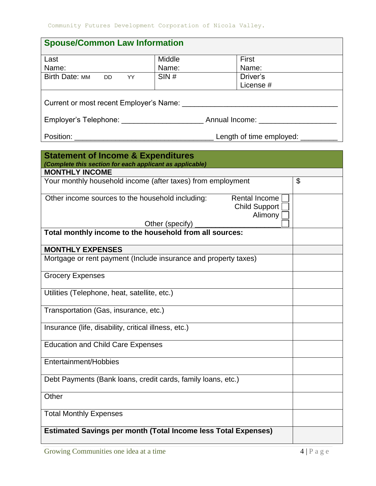| <b>Spouse/Common Law Information</b>    |        |           |  |  |  |
|-----------------------------------------|--------|-----------|--|--|--|
| Last                                    | Middle | First     |  |  |  |
| Name:                                   | Name:  | Name:     |  |  |  |
| <b>Birth Date: MM</b><br>DD YY          | SIN#   | Driver's  |  |  |  |
|                                         |        | License # |  |  |  |
| Current or most recent Employer's Name: |        |           |  |  |  |
| Annual Income:                          |        |           |  |  |  |
| Position:<br>Length of time employed:   |        |           |  |  |  |

| <b>Statement of Income &amp; Expenditures</b><br>(Complete this section for each applicant as applicable)<br><b>MONTHLY INCOME</b> |                |
|------------------------------------------------------------------------------------------------------------------------------------|----------------|
| Your monthly household income (after taxes) from employment                                                                        | $\mathfrak{L}$ |
|                                                                                                                                    |                |
| Other income sources to the household including:<br>Rental Income<br><b>Child Support</b><br>Alimony                               |                |
| Other (specify)                                                                                                                    |                |
| Total monthly income to the household from all sources:                                                                            |                |
| <b>MONTHLY EXPENSES</b>                                                                                                            |                |
| Mortgage or rent payment (Include insurance and property taxes)                                                                    |                |
| <b>Grocery Expenses</b>                                                                                                            |                |
| Utilities (Telephone, heat, satellite, etc.)                                                                                       |                |
| Transportation (Gas, insurance, etc.)                                                                                              |                |
| Insurance (life, disability, critical illness, etc.)                                                                               |                |
| <b>Education and Child Care Expenses</b>                                                                                           |                |
| Entertainment/Hobbies                                                                                                              |                |
| Debt Payments (Bank loans, credit cards, family loans, etc.)                                                                       |                |
| Other                                                                                                                              |                |
| <b>Total Monthly Expenses</b>                                                                                                      |                |
| <b>Estimated Savings per month (Total Income less Total Expenses)</b>                                                              |                |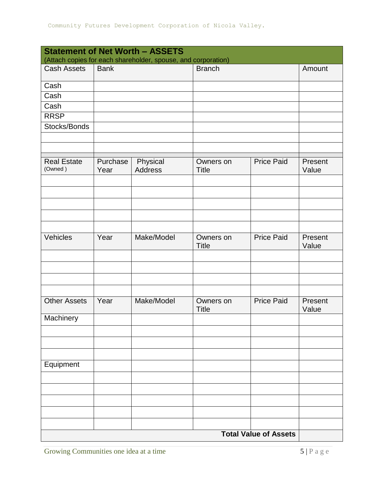| <b>Statement of Net Worth - ASSETS</b> |                  |                                                               |                           |                              |                  |
|----------------------------------------|------------------|---------------------------------------------------------------|---------------------------|------------------------------|------------------|
|                                        |                  | (Attach copies for each shareholder, spouse, and corporation) |                           |                              |                  |
| <b>Cash Assets</b>                     | <b>Bank</b>      |                                                               | <b>Branch</b>             |                              | Amount           |
| Cash                                   |                  |                                                               |                           |                              |                  |
| Cash                                   |                  |                                                               |                           |                              |                  |
| Cash                                   |                  |                                                               |                           |                              |                  |
| <b>RRSP</b>                            |                  |                                                               |                           |                              |                  |
| Stocks/Bonds                           |                  |                                                               |                           |                              |                  |
|                                        |                  |                                                               |                           |                              |                  |
|                                        |                  |                                                               |                           |                              |                  |
| <b>Real Estate</b><br>(Owned)          | Purchase<br>Year | Physical<br><b>Address</b>                                    | Owners on<br><b>Title</b> | <b>Price Paid</b>            | Present<br>Value |
|                                        |                  |                                                               |                           |                              |                  |
|                                        |                  |                                                               |                           |                              |                  |
|                                        |                  |                                                               |                           |                              |                  |
|                                        |                  |                                                               |                           |                              |                  |
|                                        |                  |                                                               |                           |                              |                  |
| Vehicles                               | Year             | Make/Model                                                    | Owners on                 | <b>Price Paid</b>            | Present          |
|                                        |                  |                                                               | <b>Title</b>              |                              | Value            |
|                                        |                  |                                                               |                           |                              |                  |
|                                        |                  |                                                               |                           |                              |                  |
|                                        |                  |                                                               |                           |                              |                  |
|                                        |                  |                                                               |                           |                              |                  |
| <b>Other Assets</b>                    | Year             | Make/Model                                                    | Owners on<br><b>Title</b> | <b>Price Paid</b>            | Present<br>Value |
| Machinery                              |                  |                                                               |                           |                              |                  |
|                                        |                  |                                                               |                           |                              |                  |
|                                        |                  |                                                               |                           |                              |                  |
|                                        |                  |                                                               |                           |                              |                  |
| Equipment                              |                  |                                                               |                           |                              |                  |
|                                        |                  |                                                               |                           |                              |                  |
|                                        |                  |                                                               |                           |                              |                  |
|                                        |                  |                                                               |                           |                              |                  |
|                                        |                  |                                                               |                           |                              |                  |
|                                        |                  |                                                               |                           |                              |                  |
|                                        |                  |                                                               |                           | <b>Total Value of Assets</b> |                  |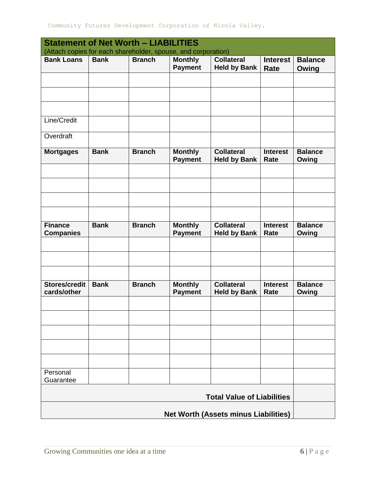| <b>Statement of Net Worth - LIABILITIES</b>                                        |             |               |                                  |                                             |                                |                         |
|------------------------------------------------------------------------------------|-------------|---------------|----------------------------------|---------------------------------------------|--------------------------------|-------------------------|
| (Attach copies for each shareholder, spouse, and corporation)<br><b>Bank Loans</b> | <b>Bank</b> | <b>Branch</b> | <b>Monthly</b>                   | <b>Collateral</b>                           | <b>Interest</b>                | <b>Balance</b>          |
|                                                                                    |             |               | <b>Payment</b>                   | <b>Held by Bank</b>                         | Rate                           | Owing                   |
|                                                                                    |             |               |                                  |                                             |                                |                         |
|                                                                                    |             |               |                                  |                                             |                                |                         |
|                                                                                    |             |               |                                  |                                             |                                |                         |
|                                                                                    |             |               |                                  |                                             |                                |                         |
| Line/Credit                                                                        |             |               |                                  |                                             |                                |                         |
| Overdraft                                                                          |             |               |                                  |                                             |                                |                         |
|                                                                                    |             |               |                                  |                                             |                                |                         |
| <b>Mortgages</b>                                                                   | <b>Bank</b> | <b>Branch</b> | <b>Monthly</b><br><b>Payment</b> | <b>Collateral</b><br><b>Held by Bank</b>    | <b>Interest</b><br><b>Rate</b> | <b>Balance</b><br>Owing |
|                                                                                    |             |               |                                  |                                             |                                |                         |
|                                                                                    |             |               |                                  |                                             |                                |                         |
|                                                                                    |             |               |                                  |                                             |                                |                         |
|                                                                                    |             |               |                                  |                                             |                                |                         |
| <b>Finance</b>                                                                     | <b>Bank</b> | <b>Branch</b> | <b>Monthly</b>                   | <b>Collateral</b>                           | <b>Interest</b>                | <b>Balance</b>          |
| <b>Companies</b>                                                                   |             |               | <b>Payment</b>                   | <b>Held by Bank</b>                         | Rate                           | Owing                   |
|                                                                                    |             |               |                                  |                                             |                                |                         |
|                                                                                    |             |               |                                  |                                             |                                |                         |
|                                                                                    |             |               |                                  |                                             |                                |                         |
| <b>Stores/credit</b>                                                               | <b>Bank</b> | <b>Branch</b> | <b>Monthly</b>                   | <b>Collateral</b>                           | <b>Interest</b>                | <b>Balance</b>          |
| cards/other                                                                        |             |               | <b>Payment</b>                   | <b>Held by Bank</b>                         | Rate                           | Owing                   |
|                                                                                    |             |               |                                  |                                             |                                |                         |
|                                                                                    |             |               |                                  |                                             |                                |                         |
|                                                                                    |             |               |                                  |                                             |                                |                         |
|                                                                                    |             |               |                                  |                                             |                                |                         |
|                                                                                    |             |               |                                  |                                             |                                |                         |
| Personal<br>Guarantee                                                              |             |               |                                  |                                             |                                |                         |
|                                                                                    |             |               |                                  |                                             |                                |                         |
|                                                                                    |             |               |                                  | <b>Total Value of Liabilities</b>           |                                |                         |
|                                                                                    |             |               |                                  | <b>Net Worth (Assets minus Liabilities)</b> |                                |                         |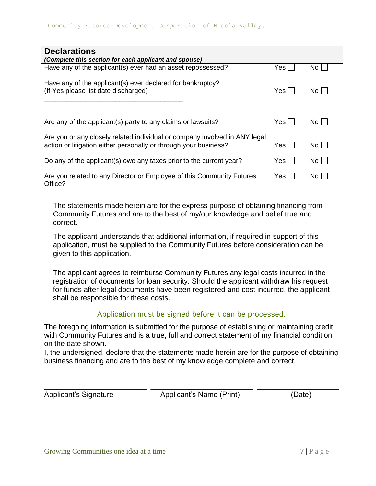| <b>Declarations</b>                                                                                                                                                                                                                                                                                             |                                                        |            |           |  |  |
|-----------------------------------------------------------------------------------------------------------------------------------------------------------------------------------------------------------------------------------------------------------------------------------------------------------------|--------------------------------------------------------|------------|-----------|--|--|
| (Complete this section for each applicant and spouse)<br>Have any of the applicant(s) ever had an asset repossessed?                                                                                                                                                                                            |                                                        | Yes        | No        |  |  |
| Have any of the applicant(s) ever declared for bankruptcy?<br>(If Yes please list date discharged)                                                                                                                                                                                                              |                                                        | $Yes \Box$ | No        |  |  |
| Are any of the applicant(s) party to any claims or lawsuits?                                                                                                                                                                                                                                                    |                                                        | Yes $\Box$ | No        |  |  |
| Are you or any closely related individual or company involved in ANY legal<br>action or litigation either personally or through your business?                                                                                                                                                                  |                                                        | Yes $\Box$ | $No \Box$ |  |  |
| Do any of the applicant(s) owe any taxes prior to the current year?                                                                                                                                                                                                                                             |                                                        | $Yes \Box$ | $No \Box$ |  |  |
| Are you related to any Director or Employee of this Community Futures<br>Office?                                                                                                                                                                                                                                |                                                        | Yes $\Box$ | No        |  |  |
| The statements made herein are for the express purpose of obtaining financing from<br>Community Futures and are to the best of my/our knowledge and belief true and<br>correct.<br>The applicant understands that additional information, if required in support of this                                        |                                                        |            |           |  |  |
| application, must be supplied to the Community Futures before consideration can be<br>given to this application.                                                                                                                                                                                                |                                                        |            |           |  |  |
| The applicant agrees to reimburse Community Futures any legal costs incurred in the<br>registration of documents for loan security. Should the applicant withdraw his request<br>for funds after legal documents have been registered and cost incurred, the applicant<br>shall be responsible for these costs. |                                                        |            |           |  |  |
|                                                                                                                                                                                                                                                                                                                 | Application must be signed before it can be processed. |            |           |  |  |
| The foregoing information is submitted for the purpose of establishing or maintaining credit<br>with Community Futures and is a true, full and correct statement of my financial condition<br>on the date shown.                                                                                                |                                                        |            |           |  |  |
| I, the undersigned, declare that the statements made herein are for the purpose of obtaining<br>business financing and are to the best of my knowledge complete and correct.                                                                                                                                    |                                                        |            |           |  |  |
| <b>Applicant's Signature</b>                                                                                                                                                                                                                                                                                    | Applicant's Name (Print)                               | (Date)     |           |  |  |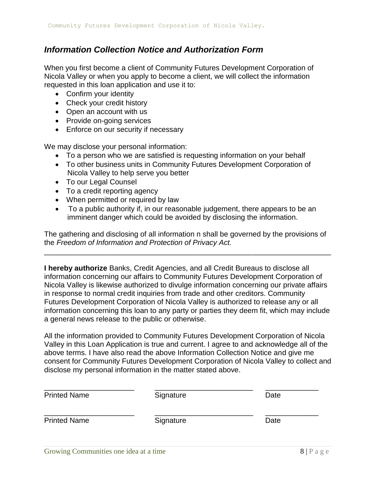## *Information Collection Notice and Authorization Form*

When you first become a client of Community Futures Development Corporation of Nicola Valley or when you apply to become a client, we will collect the information requested in this loan application and use it to:

- Confirm your identity
- Check your credit history
- Open an account with us
- Provide on-going services
- Enforce on our security if necessary

We may disclose your personal information:

- To a person who we are satisfied is requesting information on your behalf
- To other business units in Community Futures Development Corporation of Nicola Valley to help serve you better
- To our Legal Counsel
- To a credit reporting agency
- When permitted or required by law
- To a public authority if, in our reasonable judgement, there appears to be an imminent danger which could be avoided by disclosing the information.

The gathering and disclosing of all information n shall be governed by the provisions of the *Freedom of Information and Protection of Privacy Act.* 

\_\_\_\_\_\_\_\_\_\_\_\_\_\_\_\_\_\_\_\_\_\_\_\_\_\_\_\_\_\_\_\_\_\_\_\_\_\_\_\_\_\_\_\_\_\_\_\_\_\_\_\_\_\_\_\_\_\_\_\_\_\_\_\_\_\_\_\_\_\_

**I hereby authorize** Banks, Credit Agencies, and all Credit Bureaus to disclose all information concerning our affairs to Community Futures Development Corporation of Nicola Valley is likewise authorized to divulge information concerning our private affairs in response to normal credit inquiries from trade and other creditors. Community Futures Development Corporation of Nicola Valley is authorized to release any or all information concerning this loan to any party or parties they deem fit, which may include a general news release to the public or otherwise.

All the information provided to Community Futures Development Corporation of Nicola Valley in this Loan Application is true and current. I agree to and acknowledge all of the above terms. I have also read the above Information Collection Notice and give me consent for Community Futures Development Corporation of Nicola Valley to collect and disclose my personal information in the matter stated above.

| <b>Printed Name</b> | Signature | Date |
|---------------------|-----------|------|
| <b>Printed Name</b> | Signature | Date |